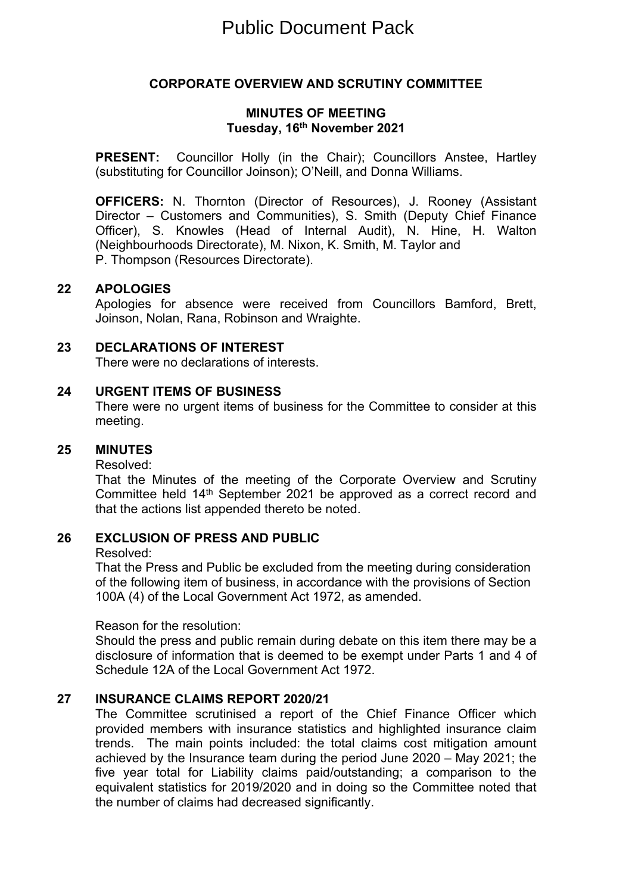# **CORPORATE OVERVIEW AND SCRUTINY COMMITTEE**

### **MINUTES OF MEETING Tuesday, 16th November 2021**

**PRESENT:** Councillor Holly (in the Chair); Councillors Anstee, Hartley (substituting for Councillor Joinson); O'Neill, and Donna Williams.

**OFFICERS:** N. Thornton (Director of Resources), J. Rooney (Assistant Director – Customers and Communities), S. Smith (Deputy Chief Finance Officer), S. Knowles (Head of Internal Audit), N. Hine, H. Walton (Neighbourhoods Directorate), M. Nixon, K. Smith, M. Taylor and P. Thompson (Resources Directorate).

### **22 APOLOGIES**

Apologies for absence were received from Councillors Bamford, Brett, Joinson, Nolan, Rana, Robinson and Wraighte.

## **23 DECLARATIONS OF INTEREST**

There were no declarations of interests.

### **24 URGENT ITEMS OF BUSINESS**

There were no urgent items of business for the Committee to consider at this meeting.

### **25 MINUTES**

Resolved:

That the Minutes of the meeting of the Corporate Overview and Scrutiny Committee held 14th September 2021 be approved as a correct record and that the actions list appended thereto be noted.

#### **26 EXCLUSION OF PRESS AND PUBLIC**

Resolved:

That the Press and Public be excluded from the meeting during consideration of the following item of business, in accordance with the provisions of Section 100A (4) of the Local Government Act 1972, as amended.

### Reason for the resolution:

Should the press and public remain during debate on this item there may be a disclosure of information that is deemed to be exempt under Parts 1 and 4 of Schedule 12A of the Local Government Act 1972.

## **27 INSURANCE CLAIMS REPORT 2020/21**

The Committee scrutinised a report of the Chief Finance Officer which provided members with insurance statistics and highlighted insurance claim trends. The main points included: the total claims cost mitigation amount achieved by the Insurance team during the period June 2020 – May 2021; the five year total for Liability claims paid/outstanding; a comparison to the equivalent statistics for 2019/2020 and in doing so the Committee noted that the number of claims had decreased significantly.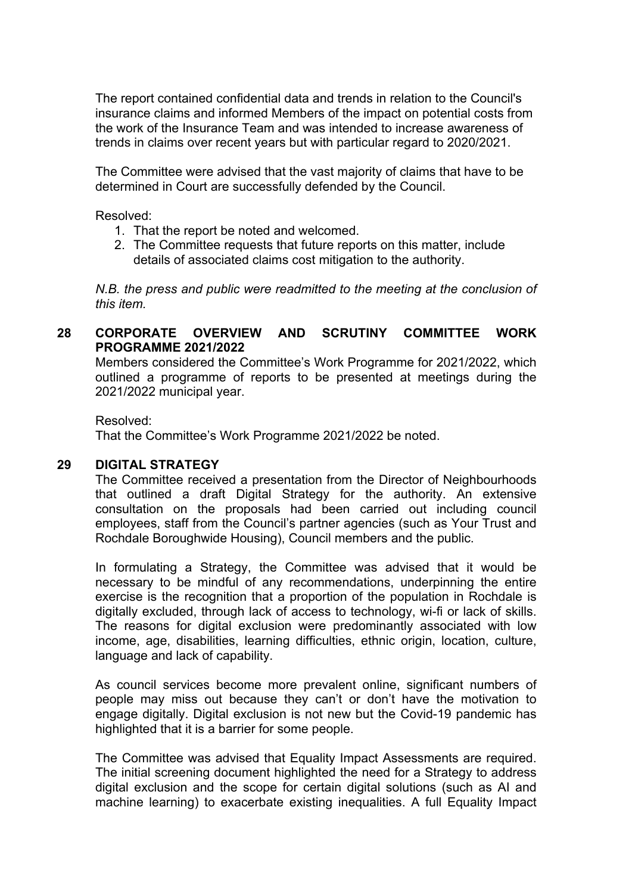The report contained confidential data and trends in relation to the Council's insurance claims and informed Members of the impact on potential costs from the work of the Insurance Team and was intended to increase awareness of trends in claims over recent years but with particular regard to 2020/2021.

The Committee were advised that the vast majority of claims that have to be determined in Court are successfully defended by the Council.

Resolved:

- 1. That the report be noted and welcomed.
- 2. The Committee requests that future reports on this matter, include details of associated claims cost mitigation to the authority.

*N.B. the press and public were readmitted to the meeting at the conclusion of this item.*

## **28 CORPORATE OVERVIEW AND SCRUTINY COMMITTEE WORK PROGRAMME 2021/2022**

Members considered the Committee's Work Programme for 2021/2022, which outlined a programme of reports to be presented at meetings during the 2021/2022 municipal year.

Resolved: That the Committee's Work Programme 2021/2022 be noted.

### **29 DIGITAL STRATEGY**

The Committee received a presentation from the Director of Neighbourhoods that outlined a draft Digital Strategy for the authority. An extensive consultation on the proposals had been carried out including council employees, staff from the Council's partner agencies (such as Your Trust and Rochdale Boroughwide Housing), Council members and the public.

In formulating a Strategy, the Committee was advised that it would be necessary to be mindful of any recommendations, underpinning the entire exercise is the recognition that a proportion of the population in Rochdale is digitally excluded, through lack of access to technology, wi-fi or lack of skills. The reasons for digital exclusion were predominantly associated with low income, age, disabilities, learning difficulties, ethnic origin, location, culture, language and lack of capability.

As council services become more prevalent online, significant numbers of people may miss out because they can't or don't have the motivation to engage digitally. Digital exclusion is not new but the Covid-19 pandemic has highlighted that it is a barrier for some people.

The Committee was advised that Equality Impact Assessments are required. The initial screening document highlighted the need for a Strategy to address digital exclusion and the scope for certain digital solutions (such as AI and machine learning) to exacerbate existing inequalities. A full Equality Impact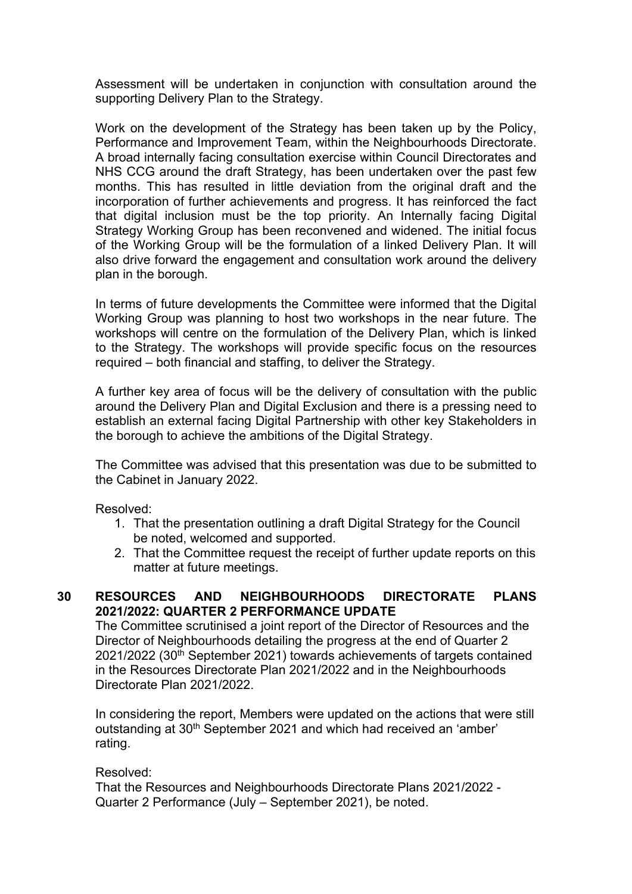Assessment will be undertaken in conjunction with consultation around the supporting Delivery Plan to the Strategy.

Work on the development of the Strategy has been taken up by the Policy, Performance and Improvement Team, within the Neighbourhoods Directorate. A broad internally facing consultation exercise within Council Directorates and NHS CCG around the draft Strategy, has been undertaken over the past few months. This has resulted in little deviation from the original draft and the incorporation of further achievements and progress. It has reinforced the fact that digital inclusion must be the top priority. An Internally facing Digital Strategy Working Group has been reconvened and widened. The initial focus of the Working Group will be the formulation of a linked Delivery Plan. It will also drive forward the engagement and consultation work around the delivery plan in the borough.

In terms of future developments the Committee were informed that the Digital Working Group was planning to host two workshops in the near future. The workshops will centre on the formulation of the Delivery Plan, which is linked to the Strategy. The workshops will provide specific focus on the resources required – both financial and staffing, to deliver the Strategy.

A further key area of focus will be the delivery of consultation with the public around the Delivery Plan and Digital Exclusion and there is a pressing need to establish an external facing Digital Partnership with other key Stakeholders in the borough to achieve the ambitions of the Digital Strategy.

The Committee was advised that this presentation was due to be submitted to the Cabinet in January 2022.

Resolved:

- 1. That the presentation outlining a draft Digital Strategy for the Council be noted, welcomed and supported.
- 2. That the Committee request the receipt of further update reports on this matter at future meetings.

### **30 RESOURCES AND NEIGHBOURHOODS DIRECTORATE PLANS 2021/2022: QUARTER 2 PERFORMANCE UPDATE**

The Committee scrutinised a joint report of the Director of Resources and the Director of Neighbourhoods detailing the progress at the end of Quarter 2 2021/2022 (30th September 2021) towards achievements of targets contained in the Resources Directorate Plan 2021/2022 and in the Neighbourhoods Directorate Plan 2021/2022.

In considering the report, Members were updated on the actions that were still outstanding at 30<sup>th</sup> September 2021 and which had received an 'amber' rating.

Resolved:

That the Resources and Neighbourhoods Directorate Plans 2021/2022 - Quarter 2 Performance (July – September 2021), be noted.